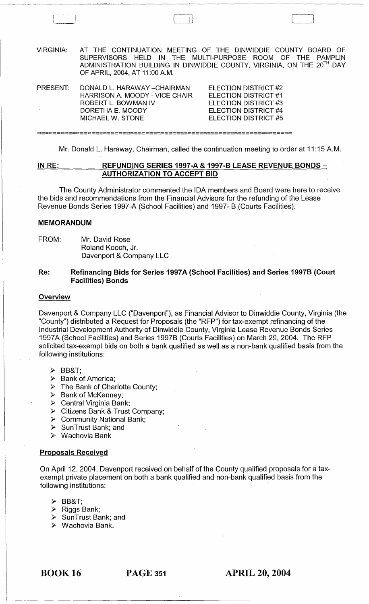| VIRGINIA: | OF APRIL, 2004, AT 11:00 A.M.                                                                                                 | AT THE CONTINUATION MEETING OF THE DINWIDDIE COUNTY BOARD<br>SUPERVISORS HELD IN THE MULTI-PURPOSE ROOM OF THE PAMPLIN<br>ADMINISTRATION BUILDING IN DINWIDDIE COUNTY, VIRGINIA, ON THE 20TH DAY |  |  |
|-----------|-------------------------------------------------------------------------------------------------------------------------------|--------------------------------------------------------------------------------------------------------------------------------------------------------------------------------------------------|--|--|
| PRESENT:  | DONALD L. HARAWAY - CHAIRMAN<br>HARRISON A. MOODY - VICE CHAIR<br>ROBERT L. BOWMAN IV<br>DORETHA E. MOODY<br>MICHAEL W. STONE | ELECTION DISTRICT #2<br>ELECTION DISTRICT #1<br>ELECTION DISTRICT #3<br>ELECTION DISTRICT #4<br>ELECTION DISTRICT #5                                                                             |  |  |
|           |                                                                                                                               |                                                                                                                                                                                                  |  |  |

Mr. Donald L. Haraway, Chairman, called the continuation meeting to order at 11 :15 A.M.

## IN RE: REFUNDING SERIES 1997-A & 1997-B LEASE REVENUE BONDS -**AUTHORIZATION TO ACCEPT BID**

The County Administrator commented the IDA members and Board were here to receive the bids and recommendations from the Financial Advisors for the refunding of the Lease Revenue Bonds Series 1997 -A (School Facilities) and 1997- B (Courts Facilities).

### **MEMORANDUM**

FROM: Mr. David Rose Roland Kooch, Jr. Davenport & Company LLC

ti, **•** 

 $\Box$ 

### **Re: Refinancing Bids for Series 1997A (School Facilities) and Series 1997B (Court Facilities) Bonds**

#### **Overview**

Davenport & Company LLC ("Davenport"), as Financial Advisor to Dinwiddie County, Virginia (the "County") distributed a Request for Proposals (the "RFP") for tax-exempt refinancing of the Industrial Development Authority of Dinwiddie County, Virginia Lease Revenue Bonds Series 1997A (School Facilities) and Series 1997B (Courts Facilities) on March 29, 2004. The RFP solicited tax-exempt bids on both a bank qualified as well as a non-bank qualified basis from the following institutions:

- $\triangleright$  BB&T;
- $\triangleright$  Bank of America;
- $\triangleright$  The Bank of Charlotte County;
- $\triangleright$  Bank of McKenney;
- $\triangleright$  Central Virginia Bank;
- $\triangleright$  Citizens Bank & Trust Company;
- $\triangleright$  Community National Bank;
- $\triangleright$  SunTrust Bank; and
- $\triangleright$  Wachovia Bank

#### **Proposals Received**

On April 12,2004, Davenport received on behalf of the County qualified proposals for a taxexempt private placement on both a bank qualified and non-bank qualified basis from the following institutions:

- $\triangleright$  BB&T;
- $\triangleright$  Riggs Bank;
- $\triangleright$  SunTrust Bank; and
- $\triangleright$  Wachovia Bank.

BOOK 16 **PAGE 351 APRIL 20, 2004**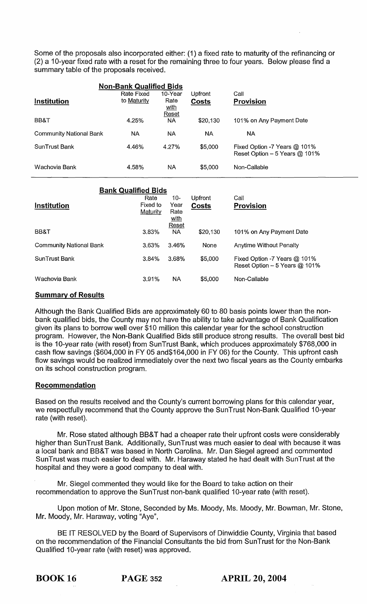Some of the proposals also incorporated either: (1) a fixed rate to maturity of the refinancing or (2) a 10-year fixed rate with a reset for the remaining three to four years. Below please find a summary table of the proposals received.

|                                | <b>Non-Bank Qualified Bids</b> |                     |                |                                                                  |
|--------------------------------|--------------------------------|---------------------|----------------|------------------------------------------------------------------|
|                                | Rate Fixed                     | 10-Year             | <b>Upfront</b> | Call                                                             |
| <b>Institution</b>             | to Maturity                    | Rate<br><u>with</u> | Costs          | <b>Provision</b>                                                 |
| BB&T                           | 4.25%                          | Reset<br>NA.        | \$20,130       | 101% on Any Payment Date                                         |
| <b>Community National Bank</b> | ΝA                             | ΝA                  | NА             | <b>NA</b>                                                        |
| <b>SunTrust Bank</b>           | 4.46%                          | 4.27%               | \$5,000        | Fixed Option -7 Years @ 101%<br>Reset Option $-5$ Years $@$ 101% |
| Wachovia Bank                  | 4.58%                          | ΝA                  | \$5,000        | Non-Callable                                                     |

| <b>Bank Qualified Bids</b>     |                                     |                             |                         |                                                                  |  |  |  |
|--------------------------------|-------------------------------------|-----------------------------|-------------------------|------------------------------------------------------------------|--|--|--|
| <b>Institution</b>             | Rate<br>Fixed to<br><b>Maturity</b> | 10-<br>Year<br>Rate<br>with | <b>Upfront</b><br>Costs | Call<br><b>Provision</b>                                         |  |  |  |
| BB&T                           | 3.83%                               | <b>Reset</b><br><b>NA</b>   | \$20.130                | 101% on Any Payment Date                                         |  |  |  |
| <b>Community National Bank</b> | 3.63%                               | 3.46%                       | None                    | <b>Anytime Without Penalty</b>                                   |  |  |  |
| <b>SunTrust Bank</b>           | $3.84\%$                            | 3.68%                       | \$5,000                 | Fixed Option -7 Years @ 101%<br>Reset Option $-5$ Years $@$ 101% |  |  |  |
| Wachovia Bank                  | 3.91%                               | <b>NA</b>                   | \$5,000                 | Non-Callable                                                     |  |  |  |

# **Summary of Results**

Although the Bank Qualified Bids are approximately 60 to 80 basis points lower than the nonbank qualified bids, the County may not have the ability to take advantage of Bank Qualification given its plans to borrow well over \$10 million this calendar year for the school construction program. However, the Non-Bank Qualified Bids still produce strong results. The overall best bid is the 10-year rate (with reset) from SunTrust Bank, which produces approximately \$768,000 in cash flow savings (\$604,000 in FY 05 and\$164,000 in FY 06) for the County. This upfront cash flow savings would be realized immediately over the next two fiscal years as the County embarks on its school construction program.

## **Recommendation**

Based on the results received and the County's current borrowing plans for this calendar year, we respectfully recommend that the County approve the SunTrust Non-Bank Qualified 10-year rate (with reset).

Mr. Rose stated although BB&T had a cheaper rate their upfront costs were considerably higher than SunTrust Bank. Additionally, SunTrust was much easier to deal with because it was a local bank and BB&T was based in North Carolina. Mr. Dan Siegel agreed and commented SunTrust was much easier to deal with. Mr. Haraway stated he had dealt with SunTrust at the hospital and they were a good company to deal with.

Mr. Siegel commented they would like for the Board to take action on their recommendation to approve the SunTrust non-bank qualified 10-year rate (with reset).

Upon motion of Mr. Stone, Seconded by Ms. Moody, Ms. Moody, Mr. Bowman, Mr. Stone, Mr. Moody, Mr. Haraway, voting "Aye",

BE IT RESOLVED by the Board of Supervisors of Dinwiddie County, Virginia that based on the recommendation of the Financial Consultants the bid from SunTrust for the Non-Bank Qualified 10-year rate (with reset) was approved.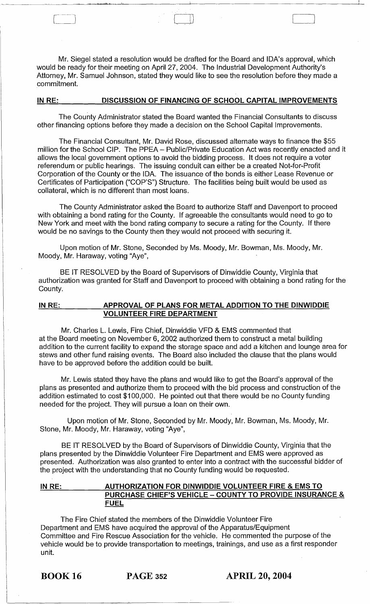Mr. Siegel stated a resolution would be drafted for the Board and IDA's approval, which would be ready for their meeting on April 27, 2004. The Industrial Development Authority's Attorney, Mr. Samuel Johnson, stated they would like to see the resolution before they made a commitment.

 $\begin{pmatrix} 1 & 1 \\ 1 & 1 \end{pmatrix}$ 

a • **..** 

### **IN RE: DISCUSSION OF FINANCING OF SCHOOL CAPITAL IMPROVEMENTS**

The County Administrator stated the Board wanted the Financial Consultants to discuss other financing options before they made a decision on the School Capital Improvements.

The Financial Consultant, Mr. David Rose, discussed alternate ways to finance the \$55 million for the School CIP. The PPEA - Public/Private Education Act was recently enacted and it allows the local government options to avoid the bidding process. It does not require a voter referendum or public hearings. The issuing conduit can either be a created Not-for-Profit Corporation of the County or the IDA. The issuance of the bonds is either Lease Revenue or Certificates of Participation ("COP'S") Structure. The facilities being built would be used as collateral, which is no different than most loans.

The County Administrator asked the Board to authorize Staff and Davenport to proceed with obtaining a bond rating for the County. If agreeable the consultants would need to go to New York and meet with the bond rating company to secure a rating for the County. If there would be no savings to the County then they would not proceed with securing it.

Upon motion of Mr. Stone, Seconded by Ms. Moody, Mr. Bowman, Ms. Moody, Mr. Moody, Mr. Haraway, voting "Aye",

BE IT RESOLVED by the Board of Supervisors of Dinwiddie County, Virginia that authorization was granted for Staff and Davenport to proceed with obtaining a bond rating for the County.

### **IN RE: APPROVAL OF PLANS FOR METAL ADDITION TO THE DINWIDDIE VOLUNTEER FIRE DEPARTMENT**

Mr. Charles L. Lewis, Fire Chief, Dinwiddie VFD & EMS commented that at the Board meeting on November 6, 2002 authorized them to construct a metal building addition to the current facility to expand the storage space and add a kitchen and lounge area for stews and other fund raising events. The Board also included the clause that the plans would have to be approved before the addition could be built.

Mr. Lewis stated they have the plans and would like to get the Board's approval of the plans as presented and authorize them to proceed with the bid process and construction of the addition estimated to cost \$100,000. He pointed out that there would be no County funding needed for the project. They will pursue a loan on their own.

Upon motion of Mr. Stone, Seconded by Mr. Moody, Mr. Bowman, Ms. Moody, Mr. Stone, Mr. Moody, Mr. Haraway, voting "Aye",

BE IT RESOLVED by the Board of Supervisors of Dinwiddie County, Virginia that the plans presented by the Dinwiddie Volunteer Fire Department and EMS were approved as presented. Authorization was also granted to enter into a contract with the successful bidder of the project with the understanding that no County funding would be requested.

## **IN RE: AUTHORIZATION FOR DINWIDDIE VOLUNTEER FIRE & EMS TO PURCHASE CHIEF'S VEHICLE - COUNTY TO PROVIDE INSURANCE & FUEL**

The Fire Chief stated the members of the Dinwiddie Volunteer Fire Department and EMS have acquired the approval of the Apparatus/Equipment Committee and Fire Rescue Association for the vehicle. He commented the purpose of the vehicle would be to provide transportation to meetings, trainings, and use as a first responder unit.

BOOK 16 **PAGE 352 APRIL 20, 2004**